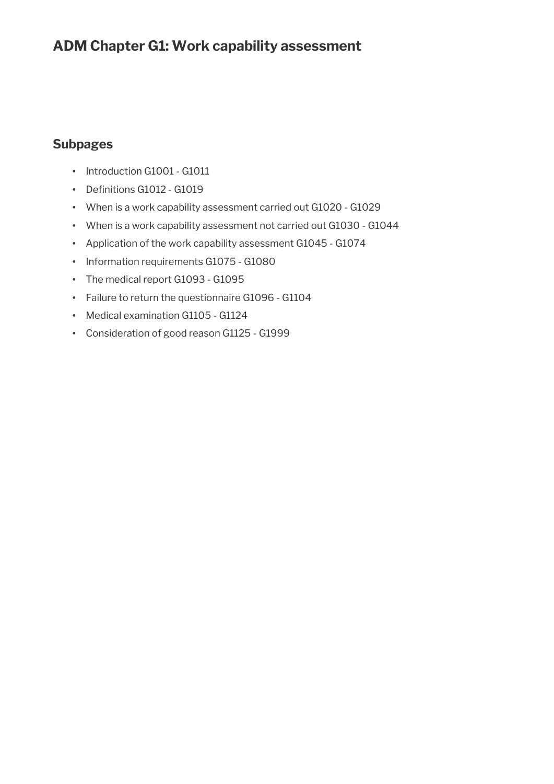## **ADM Chapter G1: Work capability assessment**

## **Subpages**

- Introduction G1001 G1011
- Definitions G1012 G1019
- When is a work capability assessment carried out G1020 G1029
- When is a work capability assessment not carried out G1030 G1044
- Application of the work capability assessment G1045 G1074
- Information requirements G1075 G1080
- The medical report G1093 G1095
- Failure to return the questionnaire G1096 G1104
- Medical examination G1105 G1124
- Consideration of good reason G1125 G1999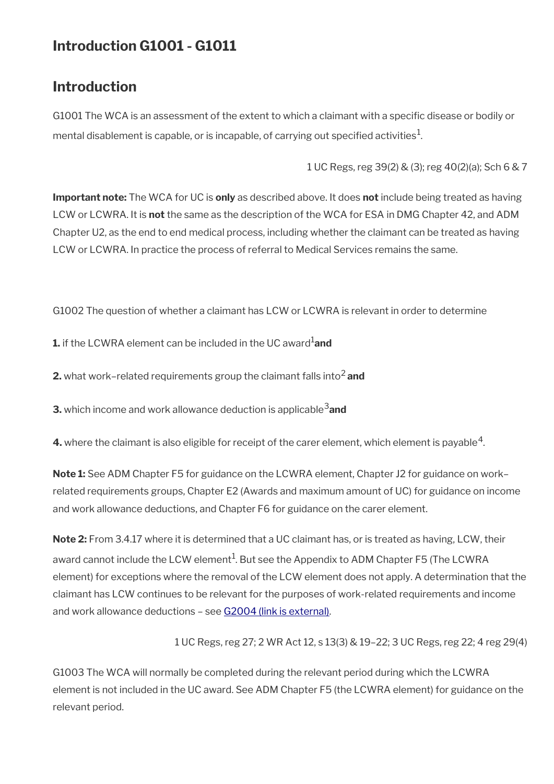# **Introduction G1001 - G1011**

## **Introduction**

G1001 The WCA is an assessment of the extent to which a claimant with a specifc disease or bodily or mental disablement is capable, or is incapable, of carrying out specified activities $^1\!$ 

1 UC Regs, reg 39(2) & (3); reg 40(2)(a); Sch 6 & 7

**Important note:** The WCA for UC is **only** as described above. It does **not** include being treated as having LCW or LCWRA. It is **not** the same as the description of the WCA for ESA in DMG Chapter 42, and ADM Chapter U2, as the end to end medical process, including whether the claimant can be treated as having LCW or LCWRA. In practice the process of referral to Medical Services remains the same.

G1002 The question of whether a claimant has LCW or LCWRA is relevant in order to determine

**1.** if the LCWRA element can be included in the UC award<sup>1</sup>and

**2.** what work-related requirements group the claimant falls into<sup>2</sup> and

**3.** which income and work allowance deduction is applicable<sup>3</sup> and

**4.** where the claimant is also eligible for receipt of the carer element, which element is payable  $^4$ .

**Note 1:** See ADM Chapter F5 for guidance on the LCWRA element, Chapter J2 for guidance on work– related requirements groups, Chapter E2 (Awards and maximum amount of UC) for guidance on income and work allowance deductions, and Chapter F6 for guidance on the carer element.

**Note 2:** From 3.4.17 where it is determined that a UC claimant has, or is treated as having, LCW, their award cannot include the LCW element $^1$ . But see the Appendix to ADM Chapter F5 (The LCWRA element) for exceptions where the removal of the LCW element does not apply. A determination that the claimant has LCW continues to be relevant for the purposes of work-related requirements and income and work allowance deductions – see [G2004 \(link is external\)](http://intralink/1/lg/acileeds/guidance/adm/dwp_t758938.asp).

1 UC Regs, reg 27; 2 WR Act 12, s 13(3) & 19–22; 3 UC Regs, reg 22; 4 reg 29(4)

G1003 The WCA will normally be completed during the relevant period during which the LCWRA element is not included in the UC award. See ADM Chapter F5 (the LCWRA element) for guidance on the relevant period.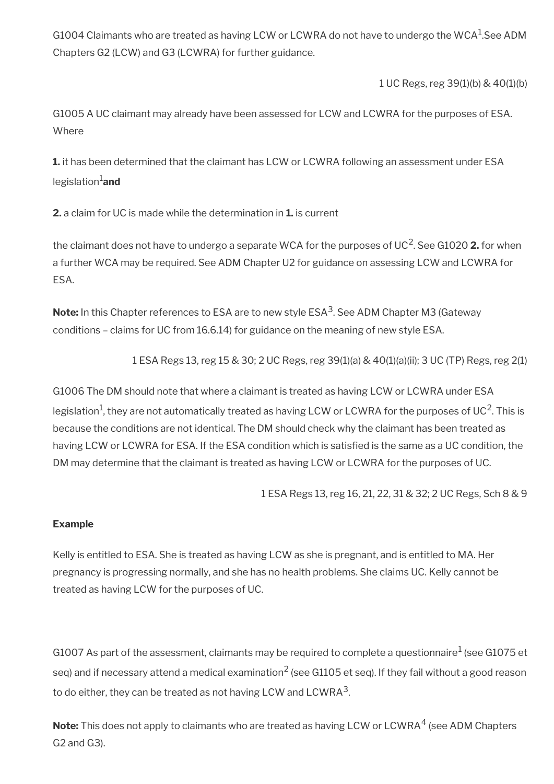G1004 Claimants who are treated as having LCW or LCWRA do not have to undergo the WCA $^{\rm 1}$ .See ADM Chapters G2 (LCW) and G3 (LCWRA) for further guidance.

1 UC Regs, reg 39(1)(b) & 40(1)(b)

G1005 A UC claimant may already have been assessed for LCW and LCWRA for the purposes of ESA. Where

**1.** it has been determined that the claimant has LCW or LCWRA following an assessment under ESA legislation<sup>1</sup>and

**2.** a claim for UC is made while the determination in **1.** is current

the claimant does not have to undergo a separate WCA for the purposes of UC<sup>2</sup>. See G1020 **2.** for when a further WCA may be required. See ADM Chapter U2 for guidance on assessing LCW and LCWRA for ESA.

**Note:** In this Chapter references to ESA are to new style ESA<sup>3</sup> . See ADM Chapter M3 (Gateway conditions – claims for UC from 16.6.14) for guidance on the meaning of new style ESA.

1 ESA Regs 13, reg 15 & 30; 2 UC Regs, reg 39(1)(a) & 40(1)(a)(ii); 3 UC (TP) Regs, reg 2(1)

G1006 The DM should note that where a claimant is treated as having LCW or LCWRA under ESA legislation<sup>1</sup>, they are not automatically treated as having LCW or LCWRA for the purposes of UC<sup>2</sup>. This is because the conditions are not identical. The DM should check why the claimant has been treated as having LCW or LCWRA for ESA. If the ESA condition which is satisfied is the same as a UC condition, the DM may determine that the claimant is treated as having LCW or LCWRA for the purposes of UC.

1 ESA Regs 13, reg 16, 21, 22, 31 & 32; 2 UC Regs, Sch 8 & 9

#### **Example**

Kelly is entitled to ESA. She is treated as having LCW as she is pregnant, and is entitled to MA. Her pregnancy is progressing normally, and she has no health problems. She claims UC. Kelly cannot be treated as having LCW for the purposes of UC.

G1007 As part of the assessment, claimants may be required to complete a questionnaire $^1$  (see G1075 et seq) and if necessary attend a medical examination<sup>2</sup> (see G1105 et seq). If they fail without a good reason to do either, they can be treated as not having LCW and LCWRA $^{\rm 3}$ .

**Note:** This does not apply to claimants who are treated as having LCW or LCWRA<sup>4</sup> (see ADM Chapters G2 and G3).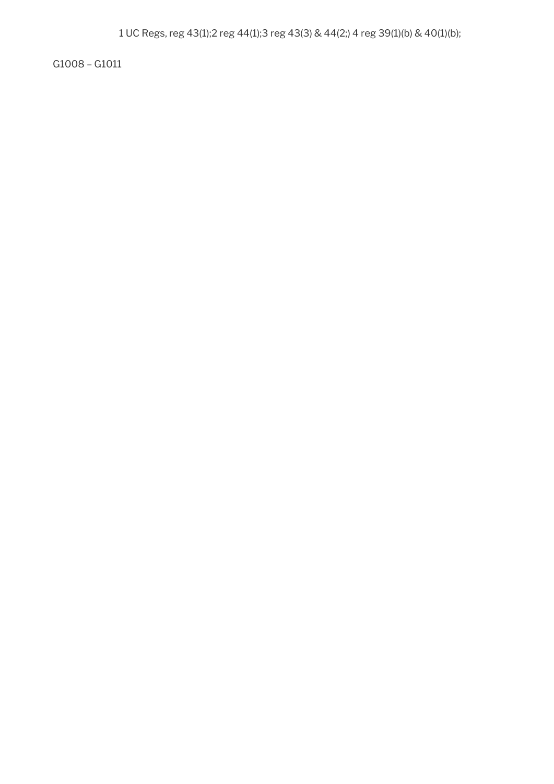G1008 – G1011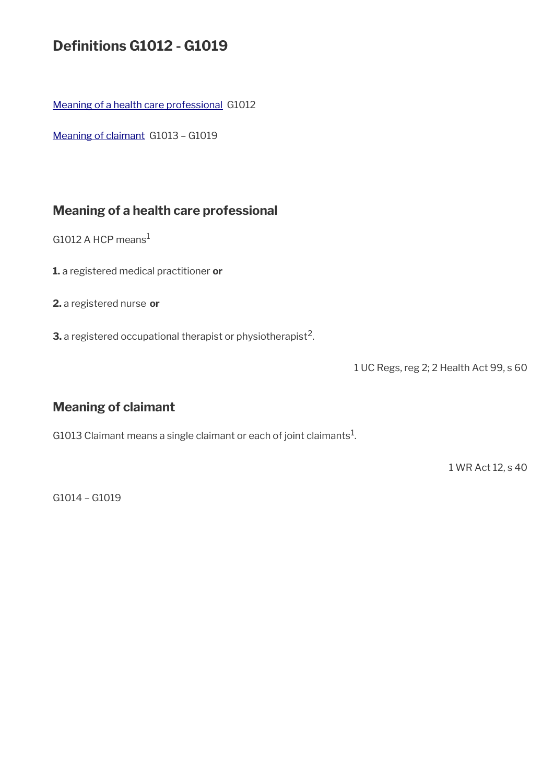# **Defnitions G1012 - G1019**

[Meaning of a health care professional](#page-4-1) G1012

[Meaning of claimant](#page-4-0) G1013 – G1019

## <span id="page-4-1"></span>**Meaning of a health care professional**

G1012 A HCP means<sup>1</sup>

**1.** a registered medical practitioner **or**

**2.** a registered nurse **or**

**3.** a registered occupational therapist or physiotherapist<sup>2</sup>.

1 UC Regs, reg 2; 2 Health Act 99, s 60

## <span id="page-4-0"></span>**Meaning of claimant**

G1013 Claimant means a single claimant or each of joint claimants $^1$ .

1 WR Act 12, s 40

G1014 – G1019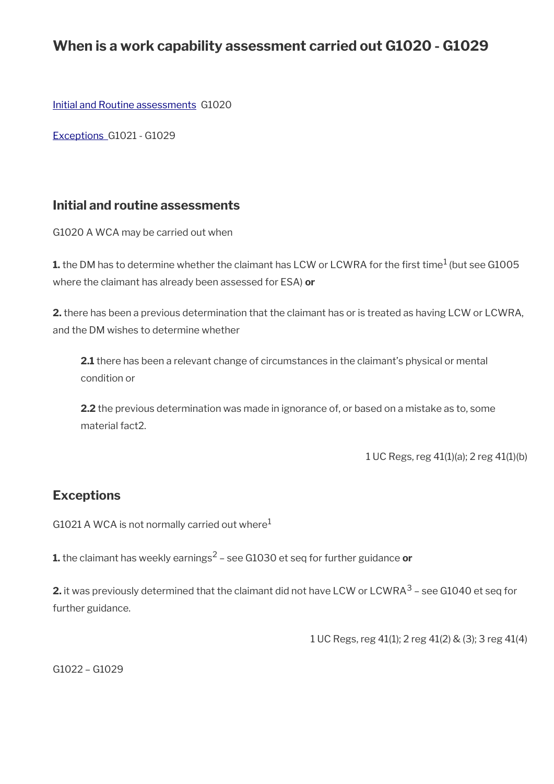## **When is a work capability assessment carried out G1020 - G1029**

[Initial and Routine assessments](#page-5-1) G1020

 [Exceptions](#page-5-0) G1021 - G1029

## <span id="page-5-1"></span>**Initial and routine assessments**

G1020 A WCA may be carried out when

**1.** the DM has to determine whether the claimant has LCW or LCWRA for the first time $^1$  (but see G1005 where the claimant has already been assessed for ESA) **or**

**2.** there has been a previous determination that the claimant has or is treated as having LCW or LCWRA, and the DM wishes to determine whether

**2.1** there has been a relevant change of circumstances in the claimant's physical or mental condition or

**2.2** the previous determination was made in ignorance of, or based on a mistake as to, some material fact2.

1 UC Regs, reg 41(1)(a); 2 reg 41(1)(b)

## <span id="page-5-0"></span>**Exceptions**

G1021 A WCA is not normally carried out where $1$ 

**1.** the claimant has weekly earnings<sup>2</sup> – see G1030 et seq for further guidance **or** 

**2.** it was previously determined that the claimant did not have LCW or LCWRA  $^3$  – see G1040 et seq for further guidance.

1 UC Regs, reg 41(1); 2 reg 41(2) & (3); 3 reg 41(4)

G1022 – G1029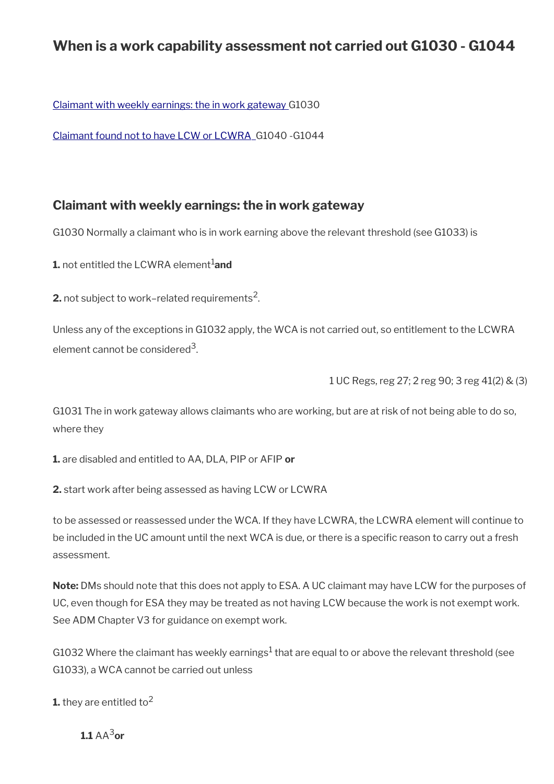## **When is a work capability assessment not carried out G1030 - G1044**

Claimant with weekly earnings: the in work gateway G1030

[Claimant found not to have LCW or LCWRA](#page-8-0) G1040 -G1044

## **Claimant with weekly earnings: the in work gateway**

G1030 Normally a claimant who is in work earning above the relevant threshold (see G1033) is

**1.** not entitled the LCWRA element<sup>1</sup>and

**2.** not subject to work–related requirements<sup>2</sup>.

Unless any of the exceptions in G1032 apply, the WCA is not carried out, so entitlement to the LCWRA element cannot be considered<sup>3</sup>.

1 UC Regs, reg 27; 2 reg 90; 3 reg 41(2) & (3)

G1031 The in work gateway allows claimants who are working, but are at risk of not being able to do so, where they

**1.** are disabled and entitled to AA, DLA, PIP or AFIP **or**

**2.** start work after being assessed as having LCW or LCWRA

to be assessed or reassessed under the WCA. If they have LCWRA, the LCWRA element will continue to be included in the UC amount until the next WCA is due, or there is a specific reason to carry out a fresh assessment.

**Note:** DMs should note that this does not apply to ESA. A UC claimant may have LCW for the purposes of UC, even though for ESA they may be treated as not having LCW because the work is not exempt work. See ADM Chapter V3 for guidance on exempt work.

G1032 Where the claimant has weekly earnings<sup>1</sup> that are equal to or above the relevant threshold (see G1033), a WCA cannot be carried out unless

**1.** they are entitled to<sup>2</sup>

**11**  $\Delta \Delta^3$ or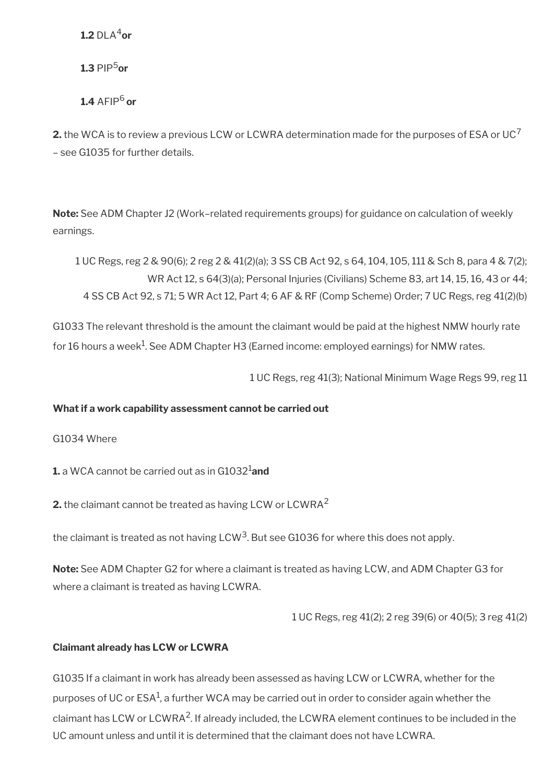**1.2** DLA<sup>4</sup>or

**1.3** PIP5**or**

 $1.4$  AFIP<sup>6</sup> or

**2.** the WCA is to review a previous LCW or LCWRA determination made for the purposes of ESA or UC<sup>7</sup> – see G1035 for further details.

**Note:** See ADM Chapter J2 (Work–related requirements groups) for guidance on calculation of weekly earnings.

1 UC Regs, reg 2 & 90(6); 2 reg 2 & 41(2)(a); 3 SS CB Act 92, s 64, 104, 105, 111 & Sch 8, para 4 & 7(2); WR Act 12, s 64(3)(a); Personal Injuries (Civilians) Scheme 83, art 14, 15, 16, 43 or 44; 4 SS CB Act 92, s 71; 5 WR Act 12, Part 4; 6 AF & RF (Comp Scheme) Order; 7 UC Regs, reg 41(2)(b)

G1033 The relevant threshold is the amount the claimant would be paid at the highest NMW hourly rate for 16 hours a week $^{\rm 1}$ . See ADM Chapter H3 (Earned income: employed earnings) for NMW rates.

1 UC Regs, reg 41(3); National Minimum Wage Regs 99, reg 11

#### **What if a work capability assessment cannot be carried out**

G1034 Where

**1.** a WCA cannot be carried out as in G1032<sup>1</sup>and

**2.** the claimant cannot be treated as having LCW or LCWRA<sup>2</sup>

the claimant is treated as not having LCW<sup>3</sup>. But see G1036 for where this does not apply.

**Note:** See ADM Chapter G2 for where a claimant is treated as having LCW, and ADM Chapter G3 for where a claimant is treated as having LCWRA.

1 UC Regs, reg 41(2); 2 reg 39(6) or 40(5); 3 reg 41(2)

#### **Claimant already has LCW or LCWRA**

G1035 If a claimant in work has already been assessed as having LCW or LCWRA, whether for the purposes of UC or ESA $^1$ , a further WCA may be carried out in order to consider again whether the claimant has LCW or LCWRA<sup>2</sup>. If already included, the LCWRA element continues to be included in the UC amount unless and until it is determined that the claimant does not have LCWRA.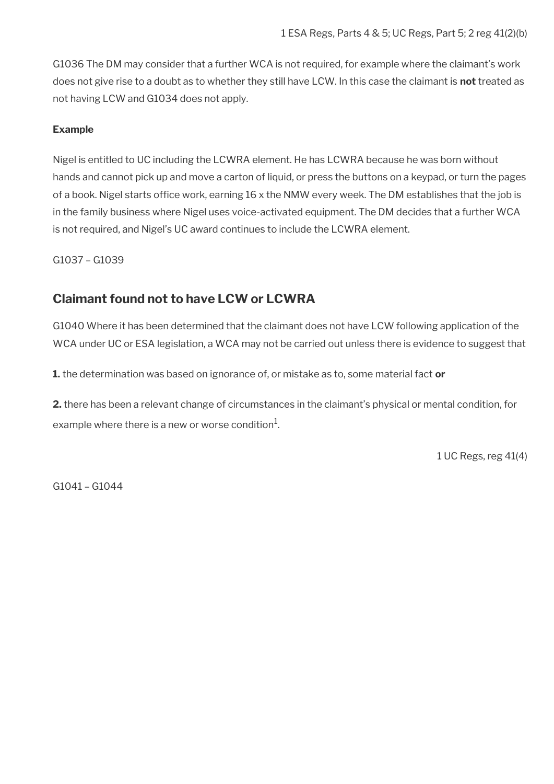G1036 The DM may consider that a further WCA is not required, for example where the claimant's work does not give rise to a doubt as to whether they still have LCW. In this case the claimant is **not** treated as not having LCW and G1034 does not apply.

#### **Example**

Nigel is entitled to UC including the LCWRA element. He has LCWRA because he was born without hands and cannot pick up and move a carton of liquid, or press the buttons on a keypad, or turn the pages of a book. Nigel starts office work, earning 16 x the NMW every week. The DM establishes that the job is in the family business where Nigel uses voice-activated equipment. The DM decides that a further WCA is not required, and Nigel's UC award continues to include the LCWRA element.

G1037 – G1039

## <span id="page-8-0"></span>**Claimant found not to have LCW or LCWRA**

G1040 Where it has been determined that the claimant does not have LCW following application of the WCA under UC or ESA legislation, a WCA may not be carried out unless there is evidence to suggest that

**1.** the determination was based on ignorance of, or mistake as to, some material fact **or**

**2.** there has been a relevant change of circumstances in the claimant's physical or mental condition, for example where there is a new or worse condition $^1\!\!$ .

1 UC Regs, reg 41(4)

G1041 – G1044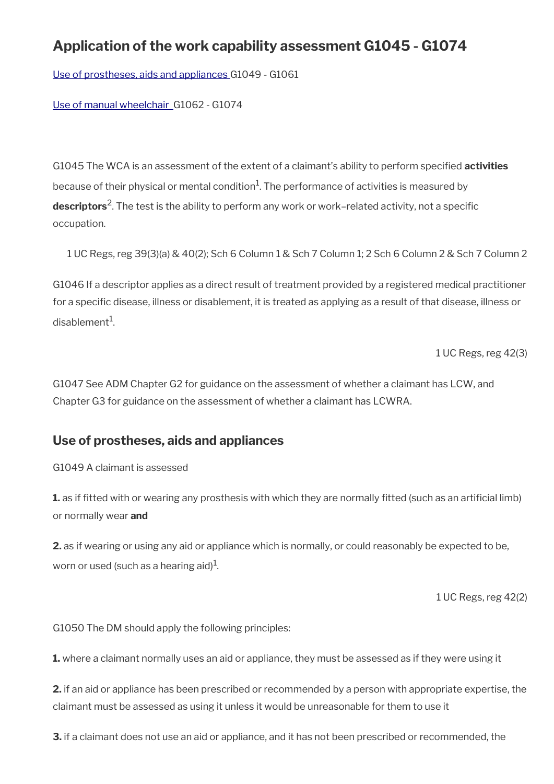# **Application of the work capability assessment G1045 - G1074**

[Use of prostheses, aids and appliances](#page-9-0) G1049 - G1061

[Use of manual wheelchair](#page-12-0) G1062 - G1074

G1045 The WCA is an assessment of the extent of a claimant's ability to perform specifed **activities** because of their physical or mental condition $^{\hbox{1}}$ . The performance of activities is measured by **descriptors**<sup>2</sup> . The test is the ability to perform any work or work–related activity, not a specifc occupation.

1 UC Regs, reg 39(3)(a) & 40(2); Sch 6 Column 1 & Sch 7 Column 1; 2 Sch 6 Column 2 & Sch 7 Column 2

G1046 If a descriptor applies as a direct result of treatment provided by a registered medical practitioner for a specific disease, illness or disablement, it is treated as applying as a result of that disease, illness or disablement $^1$ .

1 UC Regs, reg 42(3)

G1047 See ADM Chapter G2 for guidance on the assessment of whether a claimant has LCW, and Chapter G3 for guidance on the assessment of whether a claimant has LCWRA.

## <span id="page-9-0"></span>**Use of prostheses, aids and appliances**

G1049 A claimant is assessed

**1.** as if fitted with or wearing any prosthesis with which they are normally fitted (such as an artificial limb) or normally wear **and**

**2.** as if wearing or using any aid or appliance which is normally, or could reasonably be expected to be, worn or used (such as a hearing aid) $^{\rm 1}$ .

1 UC Regs, reg 42(2)

G1050 The DM should apply the following principles:

**1.** where a claimant normally uses an aid or appliance, they must be assessed as if they were using it

**2.** if an aid or appliance has been prescribed or recommended by a person with appropriate expertise, the claimant must be assessed as using it unless it would be unreasonable for them to use it

**3.** if a claimant does not use an aid or appliance, and it has not been prescribed or recommended, the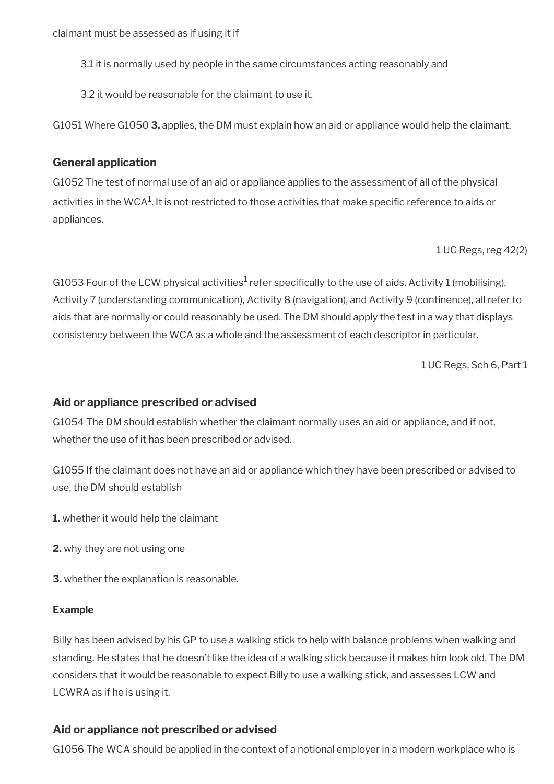- 3.1 it is normally used by people in the same circumstances acting reasonably and
- 3.2 it would be reasonable for the claimant to use it.

G1051 Where G1050 **3.** applies, the DM must explain how an aid or appliance would help the claimant.

### **General application**

G1052 The test of normal use of an aid or appliance applies to the assessment of all of the physical activities in the WCA $^{\rm 1}$ . It is not restricted to those activities that make specific reference to aids or appliances.

1 UC Regs, reg 42(2)

G1053 Four of the LCW physical activities $^1$  refer specifically to the use of aids. Activity 1 (mobilising), Activity 7 (understanding communication), Activity 8 (navigation), and Activity 9 (continence), all refer to aids that are normally or could reasonably be used. The DM should apply the test in a way that displays consistency between the WCA as a whole and the assessment of each descriptor in particular.

1 UC Regs, Sch 6, Part 1

### **Aid or appliance prescribed or advised**

G1054 The DM should establish whether the claimant normally uses an aid or appliance, and if not, whether the use of it has been prescribed or advised.

G1055 If the claimant does not have an aid or appliance which they have been prescribed or advised to use, the DM should establish

**1.** whether it would help the claimant

- **2.** why they are not using one
- **3.** whether the explanation is reasonable.

#### **Example**

Billy has been advised by his GP to use a walking stick to help with balance problems when walking and standing. He states that he doesn't like the idea of a walking stick because it makes him look old. The DM considers that it would be reasonable to expect Billy to use a walking stick, and assesses LCW and LCWRA as if he is using it.

## **Aid or appliance not prescribed or advised**

G1056 The WCA should be applied in the context of a notional employer in a modern workplace who is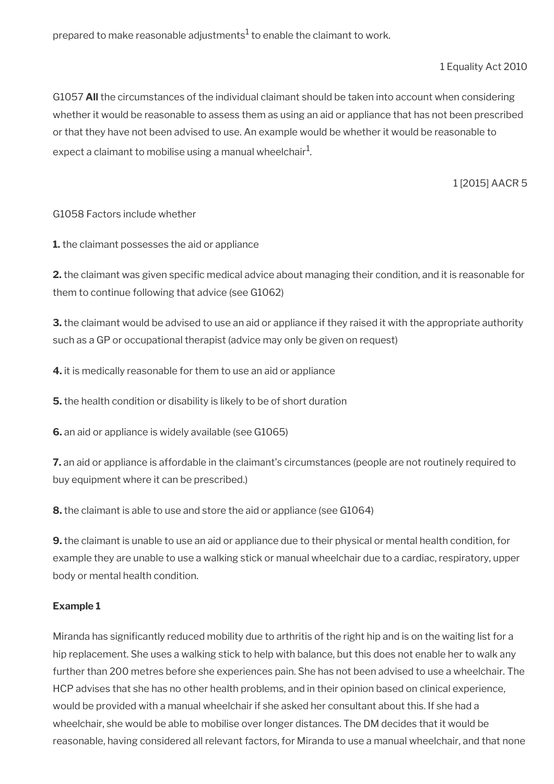prepared to make reasonable adjustments $^{\rm 1}$  to enable the claimant to work.

1 Equality Act 2010

G1057 **All** the circumstances of the individual claimant should be taken into account when considering whether it would be reasonable to assess them as using an aid or appliance that has not been prescribed or that they have not been advised to use. An example would be whether it would be reasonable to expect a claimant to mobilise using a manual wheelchair $^{\mathrm{1}}$ .

1 [2015] AACR 5

#### G1058 Factors include whether

**1.** the claimant possesses the aid or appliance

**2.** the claimant was given specific medical advice about managing their condition, and it is reasonable for them to continue following that advice (see G1062)

**3.** the claimant would be advised to use an aid or appliance if they raised it with the appropriate authority such as a GP or occupational therapist (advice may only be given on request)

**4.** it is medically reasonable for them to use an aid or appliance

**5.** the health condition or disability is likely to be of short duration

**6.** an aid or appliance is widely available (see G1065)

**7.** an aid or appliance is affordable in the claimant's circumstances (people are not routinely required to buy equipment where it can be prescribed.)

**8.** the claimant is able to use and store the aid or appliance (see G1064)

**9.** the claimant is unable to use an aid or appliance due to their physical or mental health condition, for example they are unable to use a walking stick or manual wheelchair due to a cardiac, respiratory, upper body or mental health condition.

#### **Example 1**

Miranda has signifcantly reduced mobility due to arthritis of the right hip and is on the waiting list for a hip replacement. She uses a walking stick to help with balance, but this does not enable her to walk any further than 200 metres before she experiences pain. She has not been advised to use a wheelchair. The HCP advises that she has no other health problems, and in their opinion based on clinical experience, would be provided with a manual wheelchair if she asked her consultant about this. If she had a wheelchair, she would be able to mobilise over longer distances. The DM decides that it would be reasonable, having considered all relevant factors, for Miranda to use a manual wheelchair, and that none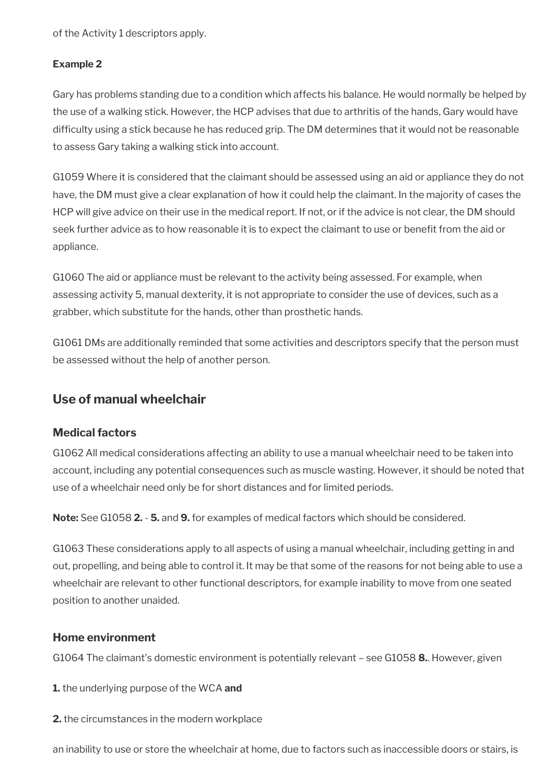of the Activity 1 descriptors apply.

#### **Example 2**

Gary has problems standing due to a condition which affects his balance. He would normally be helped by the use of a walking stick. However, the HCP advises that due to arthritis of the hands, Gary would have diffculty using a stick because he has reduced grip. The DM determines that it would not be reasonable to assess Gary taking a walking stick into account.

G1059 Where it is considered that the claimant should be assessed using an aid or appliance they do not have, the DM must give a clear explanation of how it could help the claimant. In the majority of cases the HCP will give advice on their use in the medical report. If not, or if the advice is not clear, the DM should seek further advice as to how reasonable it is to expect the claimant to use or benefit from the aid or appliance.

G1060 The aid or appliance must be relevant to the activity being assessed. For example, when assessing activity 5, manual dexterity, it is not appropriate to consider the use of devices, such as a grabber, which substitute for the hands, other than prosthetic hands.

G1061 DMs are additionally reminded that some activities and descriptors specify that the person must be assessed without the help of another person.

## <span id="page-12-0"></span>**Use of manual wheelchair**

#### **Medical factors**

G1062 All medical considerations affecting an ability to use a manual wheelchair need to be taken into account, including any potential consequences such as muscle wasting. However, it should be noted that use of a wheelchair need only be for short distances and for limited periods.

**Note:** See G1058 **2.** - **5.** and **9.** for examples of medical factors which should be considered.

G1063 These considerations apply to all aspects of using a manual wheelchair, including getting in and out, propelling, and being able to control it. It may be that some of the reasons for not being able to use a wheelchair are relevant to other functional descriptors, for example inability to move from one seated position to another unaided.

#### **Home environment**

G1064 The claimant's domestic environment is potentially relevant – see G1058 **8.**. However, given

**1.** the underlying purpose of the WCA **and**

**2.** the circumstances in the modern workplace

an inability to use or store the wheelchair at home, due to factors such as inaccessible doors or stairs, is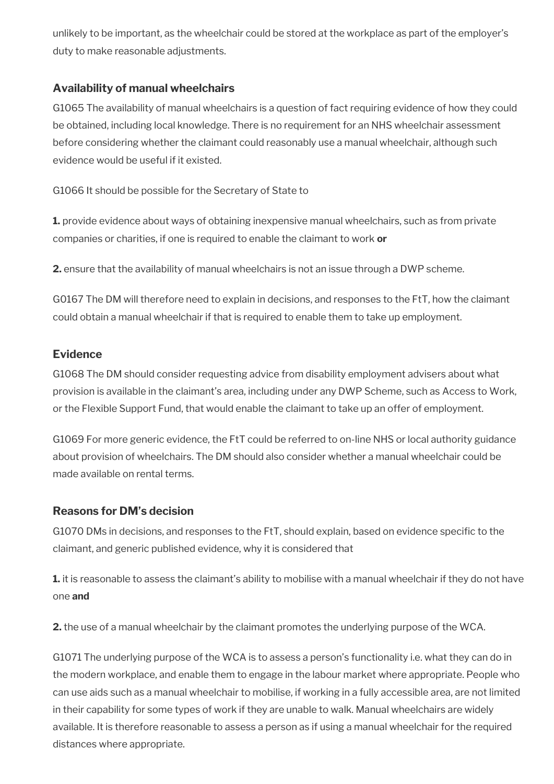unlikely to be important, as the wheelchair could be stored at the workplace as part of the employer's duty to make reasonable adjustments.

### **Availability of manual wheelchairs**

G1065 The availability of manual wheelchairs is a question of fact requiring evidence of how they could be obtained, including local knowledge. There is no requirement for an NHS wheelchair assessment before considering whether the claimant could reasonably use a manual wheelchair, although such evidence would be useful if it existed.

G1066 It should be possible for the Secretary of State to

**1.** provide evidence about ways of obtaining inexpensive manual wheelchairs, such as from private companies or charities, if one is required to enable the claimant to work **or**

**2.** ensure that the availability of manual wheelchairs is not an issue through a DWP scheme.

G0167 The DM will therefore need to explain in decisions, and responses to the FtT, how the claimant could obtain a manual wheelchair if that is required to enable them to take up employment.

## **Evidence**

G1068 The DM should consider requesting advice from disability employment advisers about what provision is available in the claimant's area, including under any DWP Scheme, such as Access to Work, or the Flexible Support Fund, that would enable the claimant to take up an offer of employment.

G1069 For more generic evidence, the FtT could be referred to on-line NHS or local authority guidance about provision of wheelchairs. The DM should also consider whether a manual wheelchair could be made available on rental terms.

### **Reasons for DM's decision**

G1070 DMs in decisions, and responses to the FtT, should explain, based on evidence specifc to the claimant, and generic published evidence, why it is considered that

**1.** it is reasonable to assess the claimant's ability to mobilise with a manual wheelchair if they do not have one **and**

**2.** the use of a manual wheelchair by the claimant promotes the underlying purpose of the WCA.

G1071 The underlying purpose of the WCA is to assess a person's functionality i.e. what they can do in the modern workplace, and enable them to engage in the labour market where appropriate. People who can use aids such as a manual wheelchair to mobilise, if working in a fully accessible area, are not limited in their capability for some types of work if they are unable to walk. Manual wheelchairs are widely available. It is therefore reasonable to assess a person as if using a manual wheelchair for the required distances where appropriate.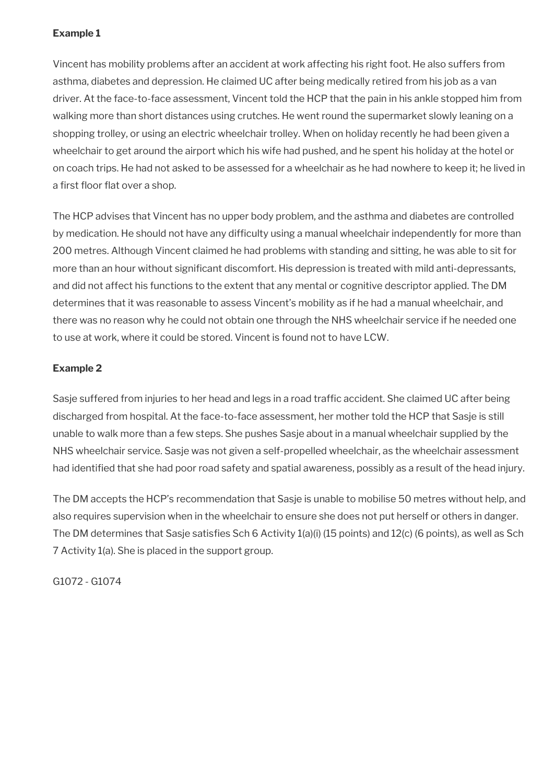### **Example 1**

Vincent has mobility problems after an accident at work affecting his right foot. He also suffers from asthma, diabetes and depression. He claimed UC after being medically retired from his job as a van driver. At the face-to-face assessment, Vincent told the HCP that the pain in his ankle stopped him from walking more than short distances using crutches. He went round the supermarket slowly leaning on a shopping trolley, or using an electric wheelchair trolley. When on holiday recently he had been given a wheelchair to get around the airport which his wife had pushed, and he spent his holiday at the hotel or on coach trips. He had not asked to be assessed for a wheelchair as he had nowhere to keep it; he lived in a first floor flat over a shop.

The HCP advises that Vincent has no upper body problem, and the asthma and diabetes are controlled by medication. He should not have any difficulty using a manual wheelchair independently for more than 200 metres. Although Vincent claimed he had problems with standing and sitting, he was able to sit for more than an hour without signifcant discomfort. His depression is treated with mild anti-depressants, and did not affect his functions to the extent that any mental or cognitive descriptor applied. The DM determines that it was reasonable to assess Vincent's mobility as if he had a manual wheelchair, and there was no reason why he could not obtain one through the NHS wheelchair service if he needed one to use at work, where it could be stored. Vincent is found not to have LCW.

### **Example 2**

Sasje suffered from injuries to her head and legs in a road traffic accident. She claimed UC after being discharged from hospital. At the face-to-face assessment, her mother told the HCP that Sasje is still unable to walk more than a few steps. She pushes Sasje about in a manual wheelchair supplied by the NHS wheelchair service. Sasje was not given a self-propelled wheelchair, as the wheelchair assessment had identifed that she had poor road safety and spatial awareness, possibly as a result of the head injury.

The DM accepts the HCP's recommendation that Sasje is unable to mobilise 50 metres without help, and also requires supervision when in the wheelchair to ensure she does not put herself or others in danger. The DM determines that Sasje satisfies Sch 6 Activity 1(a)(i) (15 points) and 12(c) (6 points), as well as Sch 7 Activity 1(a). She is placed in the support group.

G1072 - G1074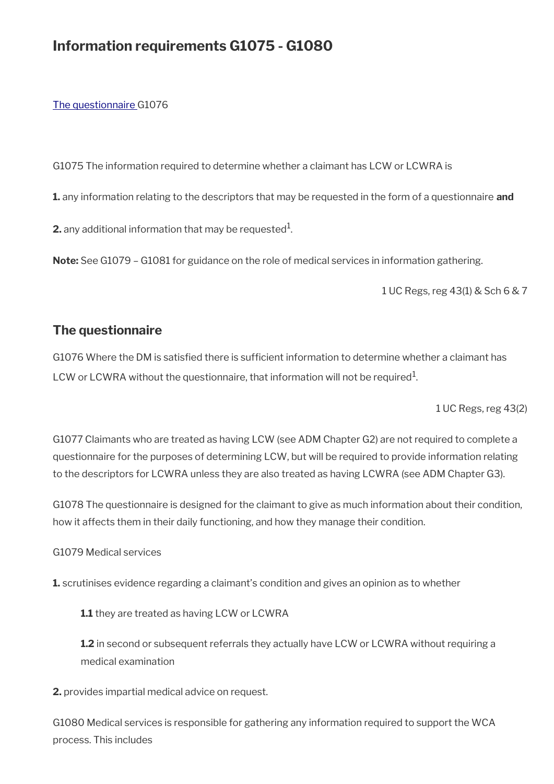## **Information requirements G1075 - G1080**

#### [The questionnaire G](#page-15-0)1076

G1075 The information required to determine whether a claimant has LCW or LCWRA is

**1.** any information relating to the descriptors that may be requested in the form of a questionnaire **and**

**2.** any additional information that may be requested $^1$ .

**Note:** See G1079 – G1081 for guidance on the role of medical services in information gathering.

1 UC Regs, reg 43(1) & Sch 6 & 7

## <span id="page-15-0"></span>**The questionnaire**

G1076 Where the DM is satisfied there is sufficient information to determine whether a claimant has LCW or LCWRA without the questionnaire, that information will not be required $^1$ .

1 UC Regs, reg 43(2)

G1077 Claimants who are treated as having LCW (see ADM Chapter G2) are not required to complete a questionnaire for the purposes of determining LCW, but will be required to provide information relating to the descriptors for LCWRA unless they are also treated as having LCWRA (see ADM Chapter G3).

G1078 The questionnaire is designed for the claimant to give as much information about their condition, how it affects them in their daily functioning, and how they manage their condition.

G1079 Medical services

**1.** scrutinises evidence regarding a claimant's condition and gives an opinion as to whether

**1.1** they are treated as having LCW or LCWRA

**1.2** in second or subsequent referrals they actually have LCW or LCWRA without requiring a medical examination

**2.** provides impartial medical advice on request.

G1080 Medical services is responsible for gathering any information required to support the WCA process. This includes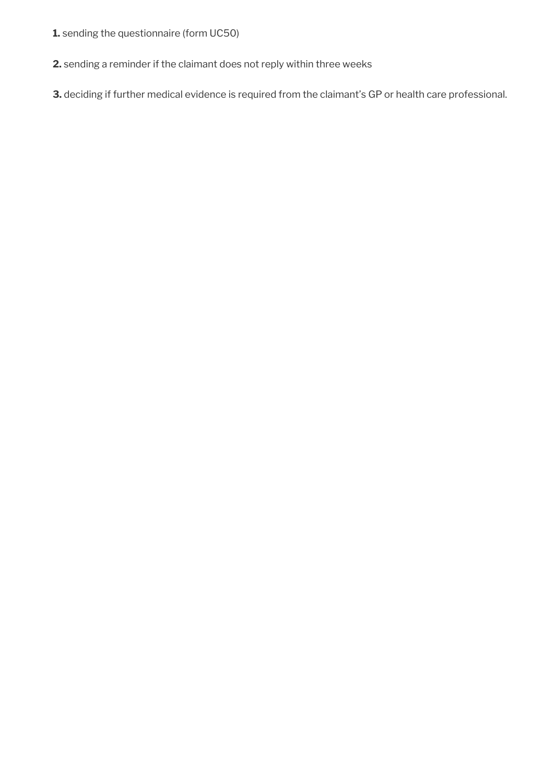- **1.** sending the questionnaire (form UC50)
- **2.** sending a reminder if the claimant does not reply within three weeks
- **3.** deciding if further medical evidence is required from the claimant's GP or health care professional.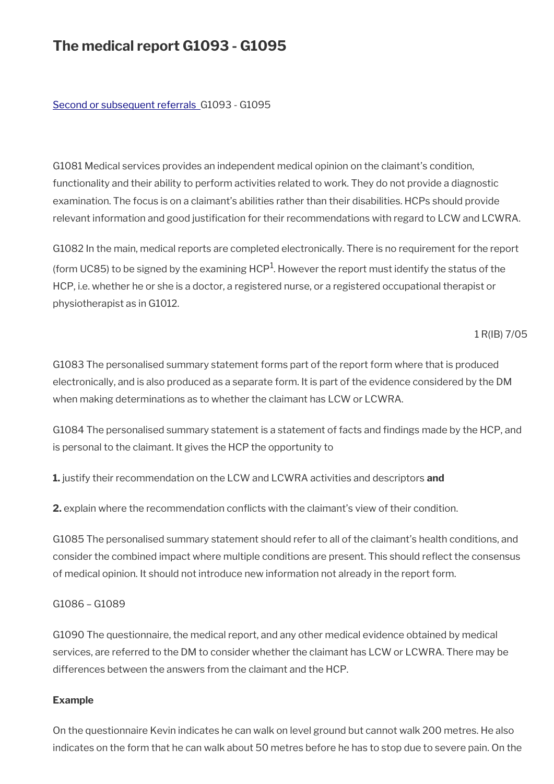# **The medical report G1093 - G1095**

#### [Second or subsequent referrals](#page-18-0) G1093 - G1095

G1081 Medical services provides an independent medical opinion on the claimant's condition, functionality and their ability to perform activities related to work. They do not provide a diagnostic examination. The focus is on a claimant's abilities rather than their disabilities. HCPs should provide relevant information and good justification for their recommendations with regard to LCW and LCWRA.

G1082 In the main, medical reports are completed electronically. There is no requirement for the report (form UC85) to be signed by the examining HCP $^1$ . However the report must identify the status of the HCP, i.e. whether he or she is a doctor, a registered nurse, or a registered occupational therapist or physiotherapist as in G1012.

1 R(IB) 7/05

G1083 The personalised summary statement forms part of the report form where that is produced electronically, and is also produced as a separate form. It is part of the evidence considered by the DM when making determinations as to whether the claimant has LCW or LCWRA.

G1084 The personalised summary statement is a statement of facts and fndings made by the HCP, and is personal to the claimant. It gives the HCP the opportunity to

**1.** justify their recommendation on the LCW and LCWRA activities and descriptors **and**

**2.** explain where the recommendation conficts with the claimant's view of their condition.

G1085 The personalised summary statement should refer to all of the claimant's health conditions, and consider the combined impact where multiple conditions are present. This should refect the consensus of medical opinion. It should not introduce new information not already in the report form.

#### G1086 – G1089

G1090 The questionnaire, the medical report, and any other medical evidence obtained by medical services, are referred to the DM to consider whether the claimant has LCW or LCWRA. There may be differences between the answers from the claimant and the HCP.

#### **Example**

On the questionnaire Kevin indicates he can walk on level ground but cannot walk 200 metres. He also indicates on the form that he can walk about 50 metres before he has to stop due to severe pain. On the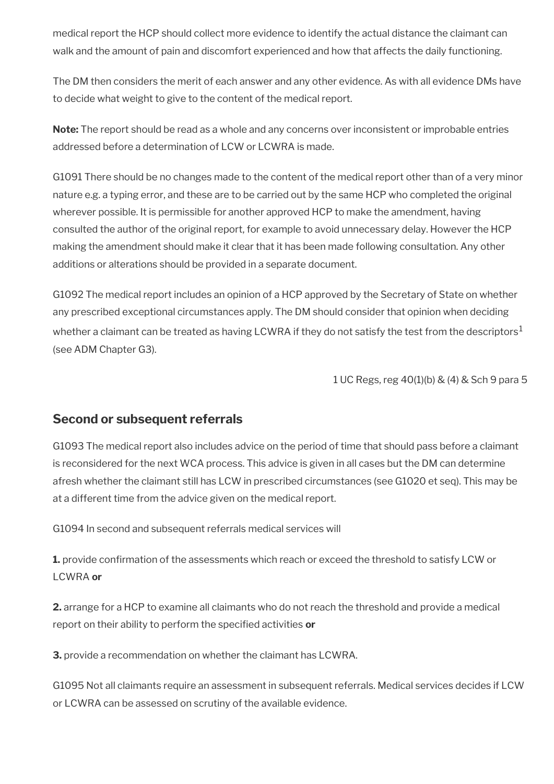medical report the HCP should collect more evidence to identify the actual distance the claimant can walk and the amount of pain and discomfort experienced and how that affects the daily functioning.

The DM then considers the merit of each answer and any other evidence. As with all evidence DMs have to decide what weight to give to the content of the medical report.

**Note:** The report should be read as a whole and any concerns over inconsistent or improbable entries addressed before a determination of LCW or LCWRA is made.

G1091 There should be no changes made to the content of the medical report other than of a very minor nature e.g. a typing error, and these are to be carried out by the same HCP who completed the original wherever possible. It is permissible for another approved HCP to make the amendment, having consulted the author of the original report, for example to avoid unnecessary delay. However the HCP making the amendment should make it clear that it has been made following consultation. Any other additions or alterations should be provided in a separate document.

G1092 The medical report includes an opinion of a HCP approved by the Secretary of State on whether any prescribed exceptional circumstances apply. The DM should consider that opinion when deciding whether a claimant can be treated as having LCWRA if they do not satisfy the test from the descriptors<sup>1</sup> (see ADM Chapter G3).

1 UC Regs, reg 40(1)(b) & (4) & Sch 9 para 5

## <span id="page-18-0"></span>**Second or subsequent referrals**

G1093 The medical report also includes advice on the period of time that should pass before a claimant is reconsidered for the next WCA process. This advice is given in all cases but the DM can determine afresh whether the claimant still has LCW in prescribed circumstances (see G1020 et seq). This may be at a different time from the advice given on the medical report.

G1094 In second and subsequent referrals medical services will

**1.** provide confrmation of the assessments which reach or exceed the threshold to satisfy LCW or LCWRA **or**

**2.** arrange for a HCP to examine all claimants who do not reach the threshold and provide a medical report on their ability to perform the specifed activities **or**

**3.** provide a recommendation on whether the claimant has LCWRA.

G1095 Not all claimants require an assessment in subsequent referrals. Medical services decides if LCW or LCWRA can be assessed on scrutiny of the available evidence.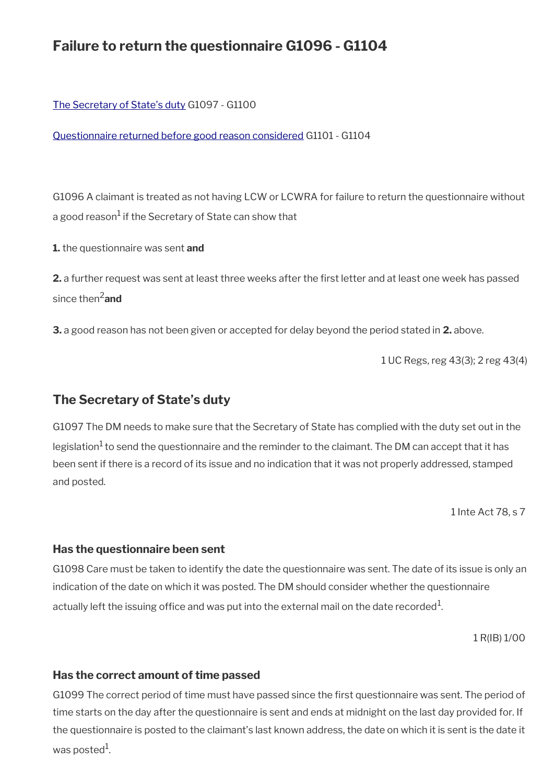## **Failure to return the questionnaire G1096 - G1104**

[The Secretary of State's duty](#page-19-0) G1097 - G1100

[Questionnaire returned before good reason considered](#page-20-0) G1101 - G1104

G1096 A claimant is treated as not having LCW or LCWRA for failure to return the questionnaire without a good reason<sup>1</sup> if the Secretary of State can show that

**1.** the questionnaire was sent **and**

**2.** a further request was sent at least three weeks after the frst letter and at least one week has passed since then2**and**

**3.** a good reason has not been given or accepted for delay beyond the period stated in **2.** above.

1 UC Regs, reg 43(3); 2 reg 43(4)

### <span id="page-19-0"></span>**The Secretary of State's duty**

G1097 The DM needs to make sure that the Secretary of State has complied with the duty set out in the legislation<sup>1</sup> to send the questionnaire and the reminder to the claimant. The DM can accept that it has been sent if there is a record of its issue and no indication that it was not properly addressed, stamped and posted.

1 Inte Act 78, s 7

#### **Has the questionnaire been sent**

G1098 Care must be taken to identify the date the questionnaire was sent. The date of its issue is only an indication of the date on which it was posted. The DM should consider whether the questionnaire actually left the issuing office and was put into the external mail on the date recorded $^1\!$ 

1 R(IB) 1/00

#### **Has the correct amount of time passed**

G1099 The correct period of time must have passed since the frst questionnaire was sent. The period of time starts on the day after the questionnaire is sent and ends at midnight on the last day provided for. If the questionnaire is posted to the claimant's last known address, the date on which it is sent is the date it was posted $^1$ .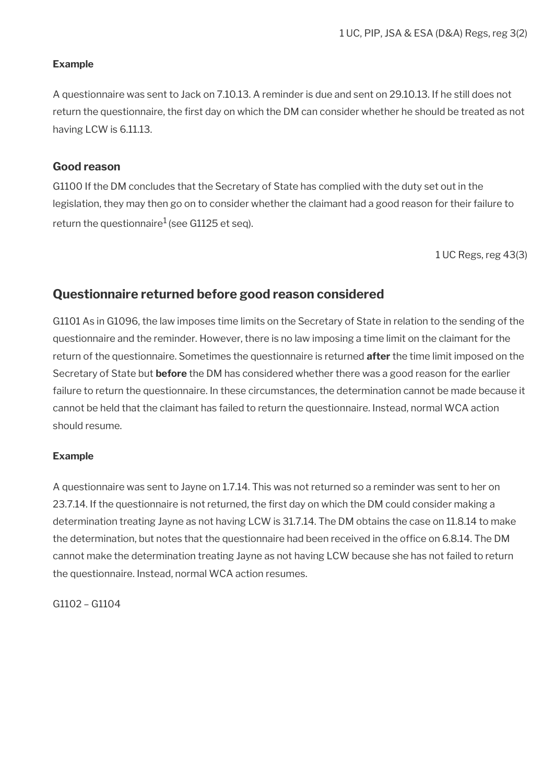#### **Example**

A questionnaire was sent to Jack on 7.10.13. A reminder is due and sent on 29.10.13. If he still does not return the questionnaire, the first day on which the DM can consider whether he should be treated as not having LCW is 6.11.13.

#### **Good reason**

G1100 If the DM concludes that the Secretary of State has complied with the duty set out in the legislation, they may then go on to consider whether the claimant had a good reason for their failure to return the questionnaire<sup>1</sup> (see G1125 et seq).

1 UC Regs, reg 43(3)

## <span id="page-20-0"></span>**Questionnaire returned before good reason considered**

G1101 As in G1096, the law imposes time limits on the Secretary of State in relation to the sending of the questionnaire and the reminder. However, there is no law imposing a time limit on the claimant for the return of the questionnaire. Sometimes the questionnaire is returned **after** the time limit imposed on the Secretary of State but **before** the DM has considered whether there was a good reason for the earlier failure to return the questionnaire. In these circumstances, the determination cannot be made because it cannot be held that the claimant has failed to return the questionnaire. Instead, normal WCA action should resume.

#### **Example**

A questionnaire was sent to Jayne on 1.7.14. This was not returned so a reminder was sent to her on 23.7.14. If the questionnaire is not returned, the frst day on which the DM could consider making a determination treating Jayne as not having LCW is 31.7.14. The DM obtains the case on 11.8.14 to make the determination, but notes that the questionnaire had been received in the office on 6.8.14. The DM cannot make the determination treating Jayne as not having LCW because she has not failed to return the questionnaire. Instead, normal WCA action resumes.

G1102 – G1104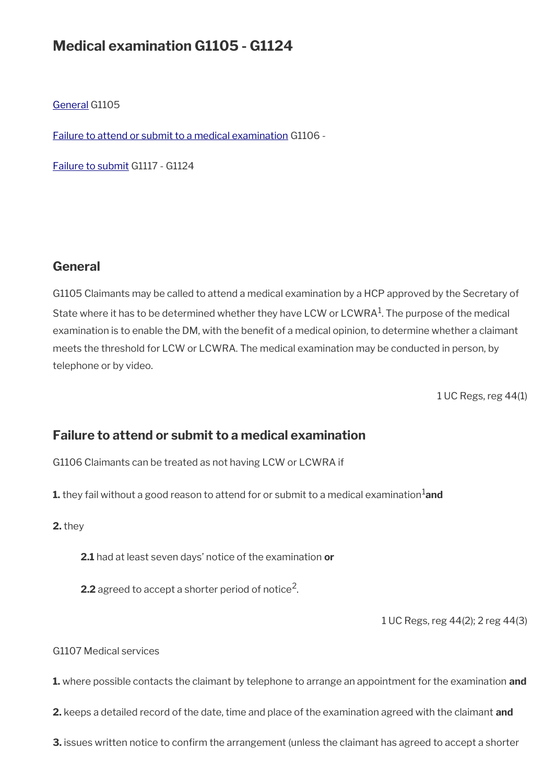## **Medical examination G1105 - G1124**

[General](#page-21-1) G1105

[Failure to attend or submit to a medical examination](#page-21-0) G1106 -

[Failure to submit](#page-24-0) G1117 - G1124

### <span id="page-21-1"></span>**General**

G1105 Claimants may be called to attend a medical examination by a HCP approved by the Secretary of State where it has to be determined whether they have LCW or LCWRA $^1$ . The purpose of the medical examination is to enable the DM, with the benefit of a medical opinion, to determine whether a claimant meets the threshold for LCW or LCWRA. The medical examination may be conducted in person, by telephone or by video.

1 UC Regs, reg 44(1)

## <span id="page-21-0"></span>**Failure to attend or submit to a medical examination**

G1106 Claimants can be treated as not having LCW or LCWRA if

**1.** they fail without a good reason to attend for or submit to a medical examination<sup>1</sup>and

**2.** they

**2.1** had at least seven days' notice of the examination **or**

**2.2** agreed to accept a shorter period of notice<sup>2</sup>.

1 UC Regs, reg 44(2); 2 reg 44(3)

G1107 Medical services

**1.** where possible contacts the claimant by telephone to arrange an appointment for the examination **and**

**2.** keeps a detailed record of the date, time and place of the examination agreed with the claimant **and**

**3.** issues written notice to confirm the arrangement (unless the claimant has agreed to accept a shorter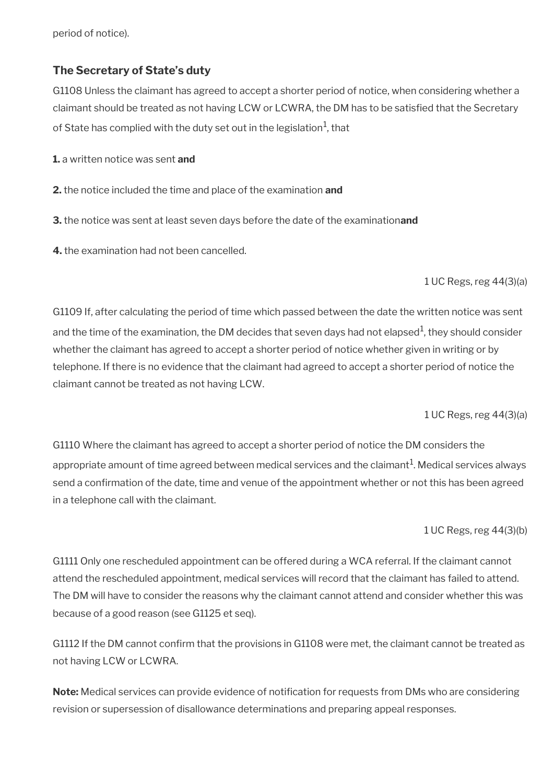period of notice).

#### **The Secretary of State's duty**

G1108 Unless the claimant has agreed to accept a shorter period of notice, when considering whether a claimant should be treated as not having LCW or LCWRA, the DM has to be satisfed that the Secretary of State has complied with the duty set out in the legislation $^{\rm 1}$ , that

**1.** a written notice was sent **and**

- **2.** the notice included the time and place of the examination **and**
- **3.** the notice was sent at least seven days before the date of the examination**and**
- **4.** the examination had not been cancelled.

1 UC Regs, reg 44(3)(a)

G1109 If, after calculating the period of time which passed between the date the written notice was sent and the time of the examination, the DM decides that seven days had not elapsed $^{\rm 1}$ , they should consider whether the claimant has agreed to accept a shorter period of notice whether given in writing or by telephone. If there is no evidence that the claimant had agreed to accept a shorter period of notice the claimant cannot be treated as not having LCW.

1 UC Regs, reg 44(3)(a)

G1110 Where the claimant has agreed to accept a shorter period of notice the DM considers the appropriate amount of time agreed between medical services and the claimant $^{\rm 1}$ . Medical services always send a confrmation of the date, time and venue of the appointment whether or not this has been agreed in a telephone call with the claimant.

1 UC Regs, reg 44(3)(b)

G1111 Only one rescheduled appointment can be offered during a WCA referral. If the claimant cannot attend the rescheduled appointment, medical services will record that the claimant has failed to attend. The DM will have to consider the reasons why the claimant cannot attend and consider whether this was because of a good reason (see G1125 et seq).

G1112 If the DM cannot confrm that the provisions in G1108 were met, the claimant cannot be treated as not having LCW or LCWRA.

**Note:** Medical services can provide evidence of notifcation for requests from DMs who are considering revision or supersession of disallowance determinations and preparing appeal responses.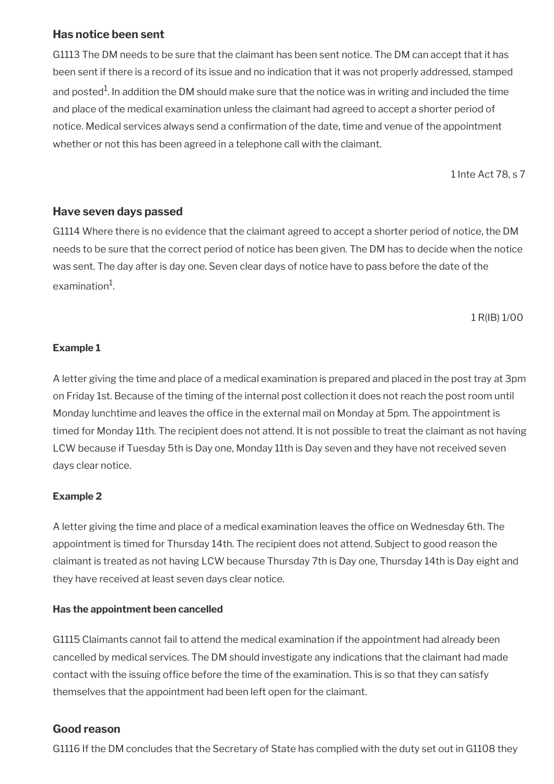### **Has notice been sent**

G1113 The DM needs to be sure that the claimant has been sent notice. The DM can accept that it has been sent if there is a record of its issue and no indication that it was not properly addressed, stamped and posted $^{\rm 1}$ . In addition the DM should make sure that the notice was in writing and included the time and place of the medical examination unless the claimant had agreed to accept a shorter period of notice. Medical services always send a confrmation of the date, time and venue of the appointment whether or not this has been agreed in a telephone call with the claimant.

1 Inte Act 78, s 7

### **Have seven days passed**

G1114 Where there is no evidence that the claimant agreed to accept a shorter period of notice, the DM needs to be sure that the correct period of notice has been given. The DM has to decide when the notice was sent. The day after is day one. Seven clear days of notice have to pass before the date of the examination $^1$ .

1 R(IB) 1/00

#### **Example 1**

A letter giving the time and place of a medical examination is prepared and placed in the post tray at 3pm on Friday 1st. Because of the timing of the internal post collection it does not reach the post room until Monday lunchtime and leaves the office in the external mail on Monday at 5pm. The appointment is timed for Monday 11th. The recipient does not attend. It is not possible to treat the claimant as not having LCW because if Tuesday 5th is Day one, Monday 11th is Day seven and they have not received seven days clear notice.

### **Example 2**

A letter giving the time and place of a medical examination leaves the offce on Wednesday 6th. The appointment is timed for Thursday 14th. The recipient does not attend. Subject to good reason the claimant is treated as not having LCW because Thursday 7th is Day one, Thursday 14th is Day eight and they have received at least seven days clear notice.

#### **Has the appointment been cancelled**

G1115 Claimants cannot fail to attend the medical examination if the appointment had already been cancelled by medical services. The DM should investigate any indications that the claimant had made contact with the issuing office before the time of the examination. This is so that they can satisfy themselves that the appointment had been left open for the claimant.

### **Good reason**

G1116 If the DM concludes that the Secretary of State has complied with the duty set out in G1108 they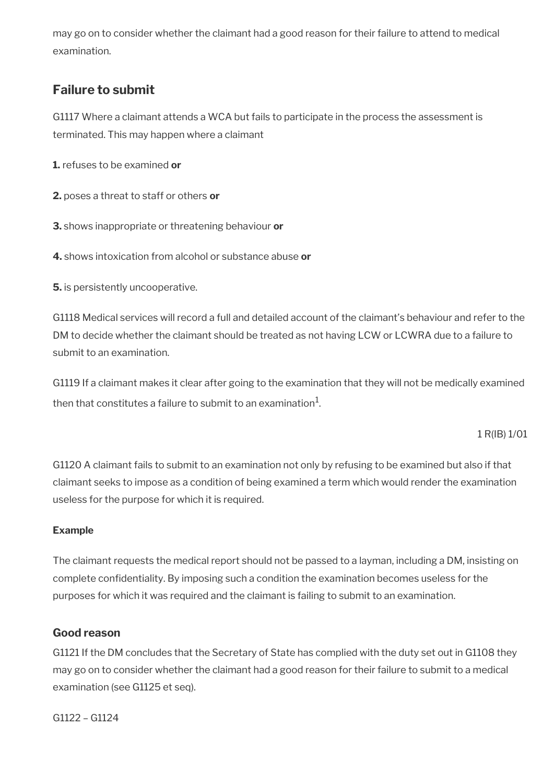may go on to consider whether the claimant had a good reason for their failure to attend to medical examination.

## <span id="page-24-0"></span>**Failure to submit**

G1117 Where a claimant attends a WCA but fails to participate in the process the assessment is terminated. This may happen where a claimant

**1.** refuses to be examined **or**

**2.** poses a threat to staff or others **or**

**3.** shows inappropriate or threatening behaviour **or**

**4.** shows intoxication from alcohol or substance abuse **or**

**5.** is persistently uncooperative.

G1118 Medical services will record a full and detailed account of the claimant's behaviour and refer to the DM to decide whether the claimant should be treated as not having LCW or LCWRA due to a failure to submit to an examination.

G1119 If a claimant makes it clear after going to the examination that they will not be medically examined then that constitutes a failure to submit to an examination $^1\!\!$  .

1 R(IB) 1/01

G1120 A claimant fails to submit to an examination not only by refusing to be examined but also if that claimant seeks to impose as a condition of being examined a term which would render the examination useless for the purpose for which it is required.

#### **Example**

The claimant requests the medical report should not be passed to a layman, including a DM, insisting on complete confdentiality. By imposing such a condition the examination becomes useless for the purposes for which it was required and the claimant is failing to submit to an examination.

### **Good reason**

G1121 If the DM concludes that the Secretary of State has complied with the duty set out in G1108 they may go on to consider whether the claimant had a good reason for their failure to submit to a medical examination (see G1125 et seq).

G1122 – G1124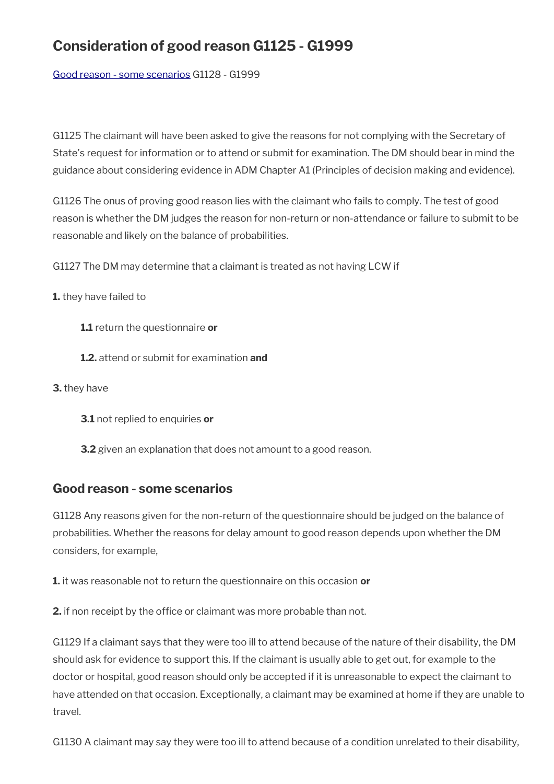# **Consideration of good reason G1125 - G1999**

[Good reason - some scenarios](#page-25-0) G1128 - G1999

G1125 The claimant will have been asked to give the reasons for not complying with the Secretary of State's request for information or to attend or submit for examination. The DM should bear in mind the guidance about considering evidence in ADM Chapter A1 (Principles of decision making and evidence).

G1126 The onus of proving good reason lies with the claimant who fails to comply. The test of good reason is whether the DM judges the reason for non-return or non-attendance or failure to submit to be reasonable and likely on the balance of probabilities.

G1127 The DM may determine that a claimant is treated as not having LCW if

**1.** they have failed to

- **1.1** return the questionnaire **or**
- **1.2.** attend or submit for examination **and**
- **3.** they have
	- **3.1** not replied to enquiries **or**
	- **3.2** given an explanation that does not amount to a good reason.

### <span id="page-25-0"></span>**Good reason - some scenarios**

G1128 Any reasons given for the non-return of the questionnaire should be judged on the balance of probabilities. Whether the reasons for delay amount to good reason depends upon whether the DM considers, for example,

**1.** it was reasonable not to return the questionnaire on this occasion **or**

**2.** if non receipt by the office or claimant was more probable than not.

G1129 If a claimant says that they were too ill to attend because of the nature of their disability, the DM should ask for evidence to support this. If the claimant is usually able to get out, for example to the doctor or hospital, good reason should only be accepted if it is unreasonable to expect the claimant to have attended on that occasion. Exceptionally, a claimant may be examined at home if they are unable to travel.

G1130 A claimant may say they were too ill to attend because of a condition unrelated to their disability,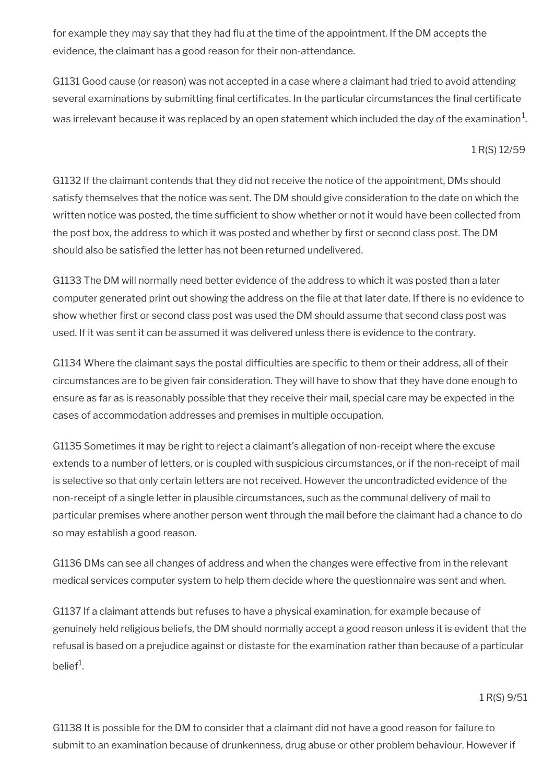for example they may say that they had fu at the time of the appointment. If the DM accepts the evidence, the claimant has a good reason for their non-attendance.

G1131 Good cause (or reason) was not accepted in a case where a claimant had tried to avoid attending several examinations by submitting final certificates. In the particular circumstances the final certificate was irrelevant because it was replaced by an open statement which included the day of the examination $^1\!$ 

#### 1 R(S) 12/59

G1132 If the claimant contends that they did not receive the notice of the appointment, DMs should satisfy themselves that the notice was sent. The DM should give consideration to the date on which the written notice was posted, the time sufficient to show whether or not it would have been collected from the post box, the address to which it was posted and whether by frst or second class post. The DM should also be satisfied the letter has not been returned undelivered.

G1133 The DM will normally need better evidence of the address to which it was posted than a later computer generated print out showing the address on the fle at that later date. If there is no evidence to show whether first or second class post was used the DM should assume that second class post was used. If it was sent it can be assumed it was delivered unless there is evidence to the contrary.

G1134 Where the claimant says the postal difficulties are specific to them or their address, all of their circumstances are to be given fair consideration. They will have to show that they have done enough to ensure as far as is reasonably possible that they receive their mail, special care may be expected in the cases of accommodation addresses and premises in multiple occupation.

G1135 Sometimes it may be right to reject a claimant's allegation of non-receipt where the excuse extends to a number of letters, or is coupled with suspicious circumstances, or if the non-receipt of mail is selective so that only certain letters are not received. However the uncontradicted evidence of the non-receipt of a single letter in plausible circumstances, such as the communal delivery of mail to particular premises where another person went through the mail before the claimant had a chance to do so may establish a good reason.

G1136 DMs can see all changes of address and when the changes were effective from in the relevant medical services computer system to help them decide where the questionnaire was sent and when.

G1137 If a claimant attends but refuses to have a physical examination, for example because of genuinely held religious beliefs, the DM should normally accept a good reason unless it is evident that the refusal is based on a prejudice against or distaste for the examination rather than because of a particular belief<sup>1</sup>.

1 R(S) 9/51

G1138 It is possible for the DM to consider that a claimant did not have a good reason for failure to submit to an examination because of drunkenness, drug abuse or other problem behaviour. However if